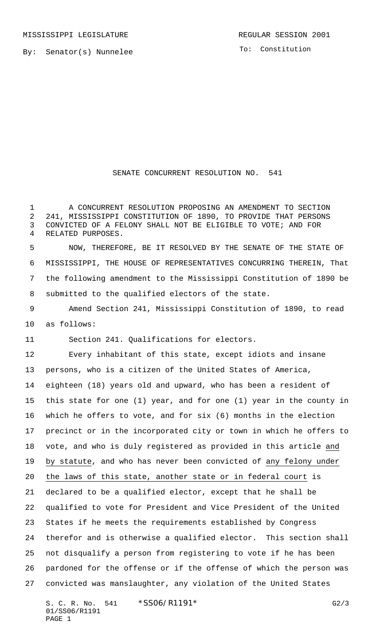MISSISSIPPI LEGISLATURE **REGULAR SESSION 2001** 

To: Constitution

## SENATE CONCURRENT RESOLUTION NO. 541

 A CONCURRENT RESOLUTION PROPOSING AN AMENDMENT TO SECTION 241, MISSISSIPPI CONSTITUTION OF 1890, TO PROVIDE THAT PERSONS CONVICTED OF A FELONY SHALL NOT BE ELIGIBLE TO VOTE; AND FOR RELATED PURPOSES.

 NOW, THEREFORE, BE IT RESOLVED BY THE SENATE OF THE STATE OF MISSISSIPPI, THE HOUSE OF REPRESENTATIVES CONCURRING THEREIN, That the following amendment to the Mississippi Constitution of 1890 be submitted to the qualified electors of the state.

 Amend Section 241, Mississippi Constitution of 1890, to read as follows:

Section 241. Qualifications for electors.

 Every inhabitant of this state, except idiots and insane persons, who is a citizen of the United States of America, eighteen (18) years old and upward, who has been a resident of this state for one (1) year, and for one (1) year in the county in which he offers to vote, and for six (6) months in the election precinct or in the incorporated city or town in which he offers to vote, and who is duly registered as provided in this article and by statute, and who has never been convicted of any felony under the laws of this state, another state or in federal court is declared to be a qualified elector, except that he shall be qualified to vote for President and Vice President of the United States if he meets the requirements established by Congress therefor and is otherwise a qualified elector. This section shall not disqualify a person from registering to vote if he has been pardoned for the offense or if the offense of which the person was convicted was manslaughter, any violation of the United States

S. C. R. No. 541 \*SS06/R1191\* G2/3 01/SS06/R1191 PAGE 1